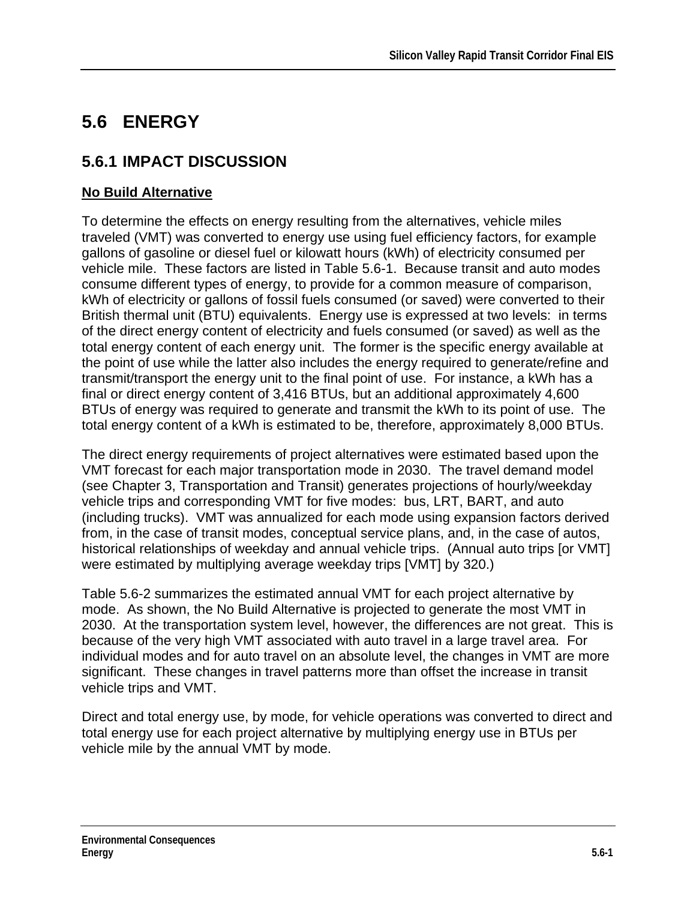# **5.6 ENERGY**

# **5.6.1 IMPACT DISCUSSION**

# **No Build Alternative**

To determine the effects on energy resulting from the alternatives, vehicle miles traveled (VMT) was converted to energy use using fuel efficiency factors, for example gallons of gasoline or diesel fuel or kilowatt hours (kWh) of electricity consumed per vehicle mile. These factors are listed in Table 5.6-1. Because transit and auto modes consume different types of energy, to provide for a common measure of comparison, kWh of electricity or gallons of fossil fuels consumed (or saved) were converted to their British thermal unit (BTU) equivalents. Energy use is expressed at two levels: in terms of the direct energy content of electricity and fuels consumed (or saved) as well as the total energy content of each energy unit. The former is the specific energy available at the point of use while the latter also includes the energy required to generate/refine and transmit/transport the energy unit to the final point of use. For instance, a kWh has a final or direct energy content of 3,416 BTUs, but an additional approximately 4,600 BTUs of energy was required to generate and transmit the kWh to its point of use. The total energy content of a kWh is estimated to be, therefore, approximately 8,000 BTUs.

The direct energy requirements of project alternatives were estimated based upon the VMT forecast for each major transportation mode in 2030. The travel demand model (see Chapter 3, Transportation and Transit) generates projections of hourly/weekday vehicle trips and corresponding VMT for five modes: bus, LRT, BART, and auto (including trucks). VMT was annualized for each mode using expansion factors derived from, in the case of transit modes, conceptual service plans, and, in the case of autos, historical relationships of weekday and annual vehicle trips. (Annual auto trips [or VMT] were estimated by multiplying average weekday trips [VMT] by 320.)

Table 5.6-2 summarizes the estimated annual VMT for each project alternative by mode. As shown, the No Build Alternative is projected to generate the most VMT in 2030. At the transportation system level, however, the differences are not great. This is because of the very high VMT associated with auto travel in a large travel area. For individual modes and for auto travel on an absolute level, the changes in VMT are more significant. These changes in travel patterns more than offset the increase in transit vehicle trips and VMT.

Direct and total energy use, by mode, for vehicle operations was converted to direct and total energy use for each project alternative by multiplying energy use in BTUs per vehicle mile by the annual VMT by mode.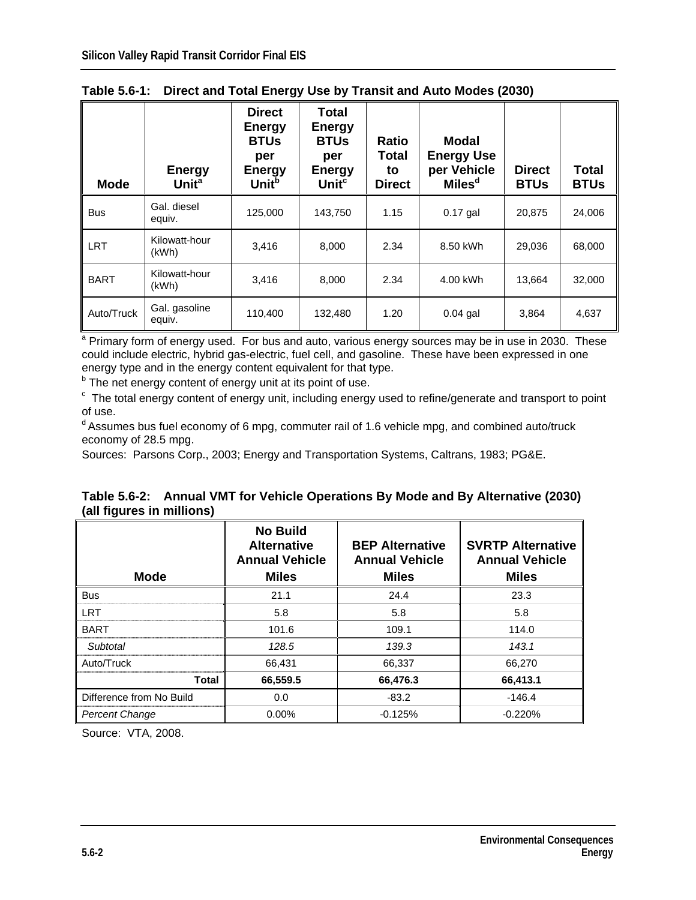| Mode        | <b>Energy</b><br>Unit <sup>a</sup> | <b>Direct</b><br><b>Energy</b><br><b>BTUs</b><br>per<br><b>Energy</b><br>Unit <sup>b</sup> | Total<br>Energy<br><b>BTUs</b><br>per<br><b>Energy</b><br>Unit <sup>c</sup> | Ratio<br>Total<br>to<br><b>Direct</b> | Modal<br><b>Energy Use</b><br>per Vehicle<br>Miles <sup>d</sup> | <b>Direct</b><br><b>BTUs</b> | Total<br><b>BTUs</b> |
|-------------|------------------------------------|--------------------------------------------------------------------------------------------|-----------------------------------------------------------------------------|---------------------------------------|-----------------------------------------------------------------|------------------------------|----------------------|
| <b>Bus</b>  | Gal. diesel<br>equiv.              | 125,000                                                                                    | 143,750                                                                     | 1.15                                  | $0.17$ gal                                                      | 20.875                       | 24,006               |
| <b>LRT</b>  | Kilowatt-hour<br>(kWh)             | 3,416                                                                                      | 8,000                                                                       | 2.34                                  | 8.50 kWh                                                        | 29,036                       | 68,000               |
| <b>BART</b> | Kilowatt-hour<br>(kWh)             | 3.416                                                                                      | 8,000                                                                       | 2.34                                  | 4.00 kWh                                                        | 13,664                       | 32,000               |
| Auto/Truck  | Gal. gasoline<br>equiv.            | 110,400                                                                                    | 132,480                                                                     | 1.20                                  | $0.04$ gal                                                      | 3,864                        | 4,637                |

| Table 5.6-1: Direct and Total Energy Use by Transit and Auto Modes (2030) |  |
|---------------------------------------------------------------------------|--|
|                                                                           |  |

<sup>a</sup> Primary form of energy used. For bus and auto, various energy sources may be in use in 2030. These could include electric, hybrid gas-electric, fuel cell, and gasoline. These have been expressed in one energy type and in the energy content equivalent for that type.

<sup>b</sup> The net energy content of energy unit at its point of use.

 $\textdegree$  The total energy content of energy unit, including energy used to refine/generate and transport to point of use.

<sup>d</sup> Assumes bus fuel economy of 6 mpg, commuter rail of 1.6 vehicle mpg, and combined auto/truck economy of 28.5 mpg.

Sources: Parsons Corp., 2003; Energy and Transportation Systems, Caltrans, 1983; PG&E.

|                           |  | Table 5.6-2: Annual VMT for Vehicle Operations By Mode and By Alternative (2030) |
|---------------------------|--|----------------------------------------------------------------------------------|
| (all figures in millions) |  |                                                                                  |

| <b>Mode</b>              | <b>No Build</b><br><b>Alternative</b><br><b>Annual Vehicle</b><br><b>Miles</b> | <b>BEP Alternative</b><br><b>Annual Vehicle</b><br><b>Miles</b> | <b>SVRTP Alternative</b><br><b>Annual Vehicle</b><br><b>Miles</b> |
|--------------------------|--------------------------------------------------------------------------------|-----------------------------------------------------------------|-------------------------------------------------------------------|
| <b>Bus</b>               | 21.1                                                                           | 24.4                                                            | 23.3                                                              |
| <b>LRT</b>               | 5.8                                                                            | 5.8                                                             | 5.8                                                               |
| <b>BART</b>              | 101.6                                                                          | 109.1                                                           | 114.0                                                             |
| Subtotal                 | 128.5                                                                          | 139.3                                                           | 143.1                                                             |
| Auto/Truck               | 66,431                                                                         | 66,337                                                          | 66,270                                                            |
| <b>Total</b>             | 66,559.5                                                                       | 66,476.3                                                        | 66,413.1                                                          |
| Difference from No Build | 0.0                                                                            | $-83.2$                                                         | $-146.4$                                                          |
| <b>Percent Change</b>    | $0.00\%$                                                                       | $-0.125%$                                                       | $-0.220%$                                                         |

Source: VTA, 2008.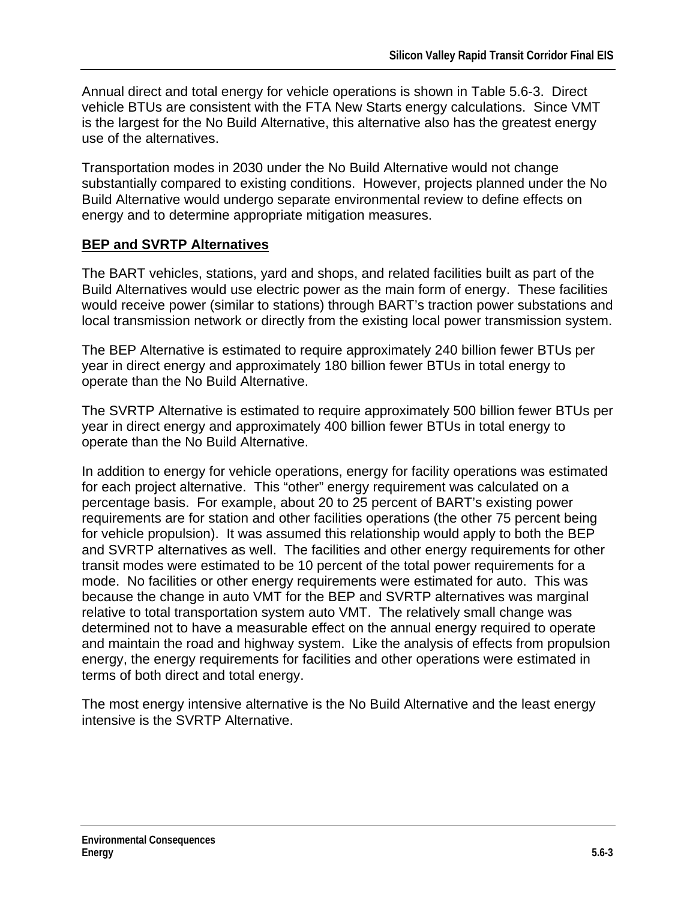Annual direct and total energy for vehicle operations is shown in Table 5.6-3. Direct vehicle BTUs are consistent with the FTA New Starts energy calculations. Since VMT is the largest for the No Build Alternative, this alternative also has the greatest energy use of the alternatives.

Transportation modes in 2030 under the No Build Alternative would not change substantially compared to existing conditions. However, projects planned under the No Build Alternative would undergo separate environmental review to define effects on energy and to determine appropriate mitigation measures.

#### **BEP and SVRTP Alternatives**

The BART vehicles, stations, yard and shops, and related facilities built as part of the Build Alternatives would use electric power as the main form of energy. These facilities would receive power (similar to stations) through BART's traction power substations and local transmission network or directly from the existing local power transmission system.

The BEP Alternative is estimated to require approximately 240 billion fewer BTUs per year in direct energy and approximately 180 billion fewer BTUs in total energy to operate than the No Build Alternative.

The SVRTP Alternative is estimated to require approximately 500 billion fewer BTUs per year in direct energy and approximately 400 billion fewer BTUs in total energy to operate than the No Build Alternative.

In addition to energy for vehicle operations, energy for facility operations was estimated for each project alternative. This "other" energy requirement was calculated on a percentage basis. For example, about 20 to 25 percent of BART's existing power requirements are for station and other facilities operations (the other 75 percent being for vehicle propulsion). It was assumed this relationship would apply to both the BEP and SVRTP alternatives as well. The facilities and other energy requirements for other transit modes were estimated to be 10 percent of the total power requirements for a mode. No facilities or other energy requirements were estimated for auto. This was because the change in auto VMT for the BEP and SVRTP alternatives was marginal relative to total transportation system auto VMT. The relatively small change was determined not to have a measurable effect on the annual energy required to operate and maintain the road and highway system. Like the analysis of effects from propulsion energy, the energy requirements for facilities and other operations were estimated in terms of both direct and total energy.

The most energy intensive alternative is the No Build Alternative and the least energy intensive is the SVRTP Alternative.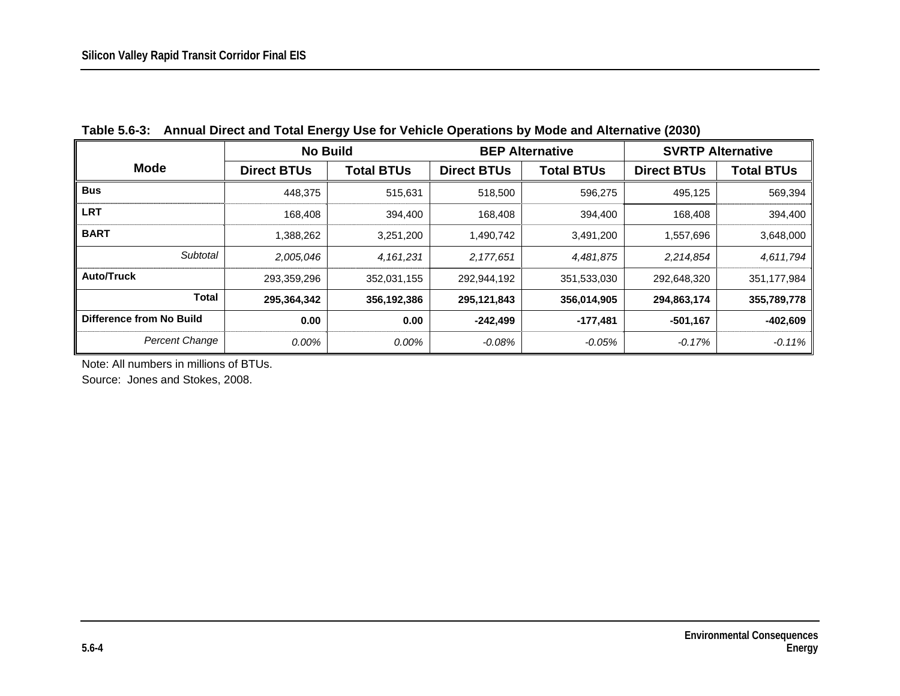| <b>No Build</b>          |                    |                   | <b>BEP Alternative</b> | <b>SVRTP Alternative</b> |                    |             |
|--------------------------|--------------------|-------------------|------------------------|--------------------------|--------------------|-------------|
| <b>Mode</b>              | <b>Direct BTUs</b> | <b>Total BTUs</b> | <b>Direct BTUs</b>     | <b>Total BTUs</b>        | <b>Direct BTUs</b> | Total BTUs  |
| <b>Bus</b>               | 448,375            | 515,631           | 518,500                | 596,275                  | 495,125            | 569,394     |
| <b>LRT</b>               | 168,408            | 394,400           | 168,408                | 394,400                  | 168,408            | 394,400     |
| <b>BART</b>              | 1,388,262          | 3,251,200         | 1,490,742              | 3,491,200                | 1,557,696          | 3,648,000   |
| Subtotal                 | 2,005,046          | 4,161,231         | 2,177,651              | 4,481,875                | 2,214,854          | 4,611,794   |
| <b>Auto/Truck</b>        | 293,359,296        | 352,031,155       | 292,944,192            | 351,533,030              | 292,648,320        | 351,177,984 |
| <b>Total</b>             | 295,364,342        | 356,192,386       | 295,121,843            | 356,014,905              | 294,863,174        | 355,789,778 |
| Difference from No Build | 0.00               | 0.00              | $-242,499$             | $-177,481$               | $-501,167$         | $-402,609$  |
| <b>Percent Change</b>    | 0.00%              | 0.00%             | -0.08%                 | $-0.05\%$                | $-0.17\%$          | $-0.11\%$   |

**Table 5.6-3: Annual Direct and Total Energy Use for Vehicle Operations by Mode and Alternative (2030)** 

Note: All numbers in millions of BTUs.

Source: Jones and Stokes, 2008.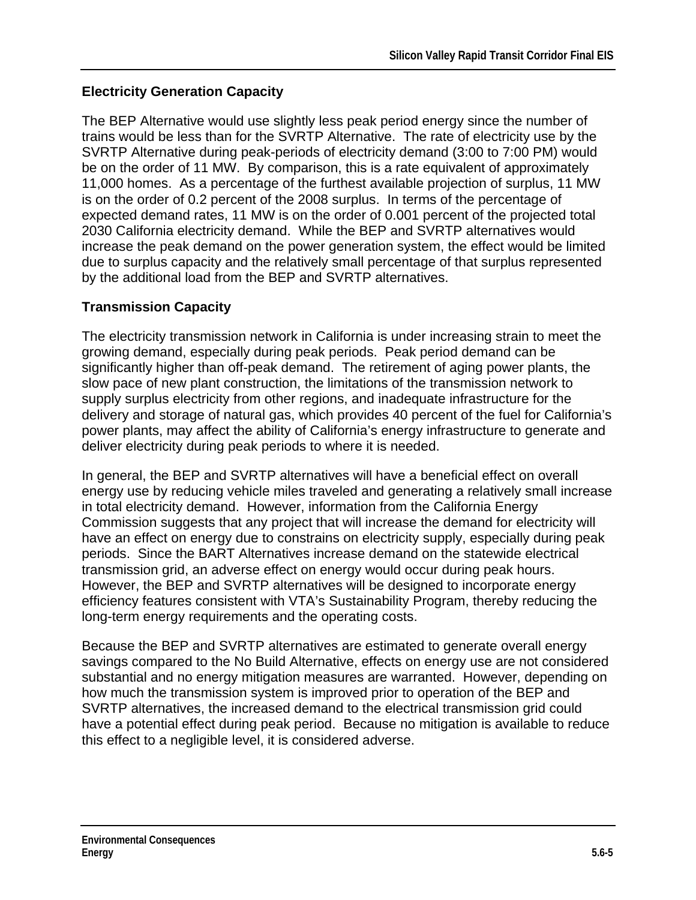## **Electricity Generation Capacity**

The BEP Alternative would use slightly less peak period energy since the number of trains would be less than for the SVRTP Alternative. The rate of electricity use by the SVRTP Alternative during peak-periods of electricity demand (3:00 to 7:00 PM) would be on the order of 11 MW. By comparison, this is a rate equivalent of approximately 11,000 homes. As a percentage of the furthest available projection of surplus, 11 MW is on the order of 0.2 percent of the 2008 surplus. In terms of the percentage of expected demand rates, 11 MW is on the order of 0.001 percent of the projected total 2030 California electricity demand. While the BEP and SVRTP alternatives would increase the peak demand on the power generation system, the effect would be limited due to surplus capacity and the relatively small percentage of that surplus represented by the additional load from the BEP and SVRTP alternatives.

## **Transmission Capacity**

The electricity transmission network in California is under increasing strain to meet the growing demand, especially during peak periods. Peak period demand can be significantly higher than off-peak demand. The retirement of aging power plants, the slow pace of new plant construction, the limitations of the transmission network to supply surplus electricity from other regions, and inadequate infrastructure for the delivery and storage of natural gas, which provides 40 percent of the fuel for California's power plants, may affect the ability of California's energy infrastructure to generate and deliver electricity during peak periods to where it is needed.

In general, the BEP and SVRTP alternatives will have a beneficial effect on overall energy use by reducing vehicle miles traveled and generating a relatively small increase in total electricity demand. However, information from the California Energy Commission suggests that any project that will increase the demand for electricity will have an effect on energy due to constrains on electricity supply, especially during peak periods. Since the BART Alternatives increase demand on the statewide electrical transmission grid, an adverse effect on energy would occur during peak hours. However, the BEP and SVRTP alternatives will be designed to incorporate energy efficiency features consistent with VTA's Sustainability Program, thereby reducing the long-term energy requirements and the operating costs.

Because the BEP and SVRTP alternatives are estimated to generate overall energy savings compared to the No Build Alternative, effects on energy use are not considered substantial and no energy mitigation measures are warranted. However, depending on how much the transmission system is improved prior to operation of the BEP and SVRTP alternatives, the increased demand to the electrical transmission grid could have a potential effect during peak period. Because no mitigation is available to reduce this effect to a negligible level, it is considered adverse.